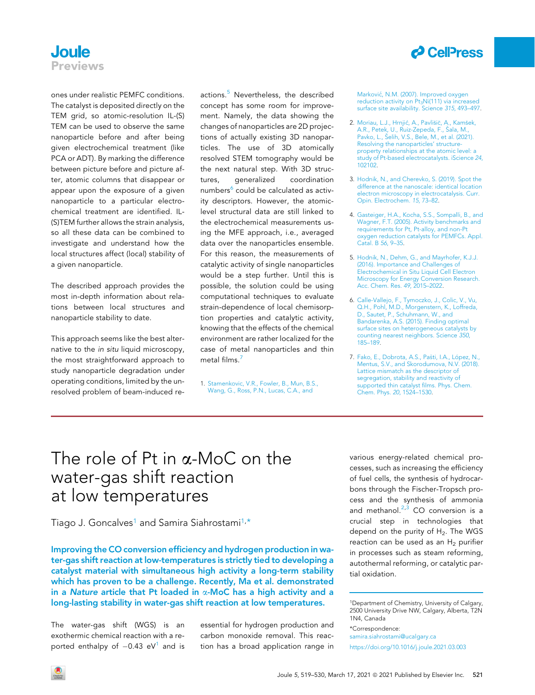

## **Joule** Previews

ones under realistic PEMFC conditions. The catalyst is deposited directly on the TEM grid, so atomic-resolution IL-(S) TEM can be used to observe the same nanoparticle before and after being given electrochemical treatment (like PCA or ADT). By marking the difference between picture before and picture after, atomic columns that disappear or appear upon the exposure of a given nanoparticle to a particular electrochemical treatment are identified. IL- (S)TEM further allows the strain analysis, so all these data can be combined to investigate and understand how the local structures affect (local) stability of a given nanoparticle.

The described approach provides the most in-depth information about relations between local structures and nanoparticle stability to date.

This approach seems like the best alternative to the in situ liquid microscopy, the most straightforward approach to study nanoparticle degradation under operating conditions, limited by the unresolved problem of beam-induced reactions.<sup>[5](#page-0-0)</sup> Nevertheless, the described concept has some room for improvement. Namely, the data showing the changes of nanoparticles are 2D projections of actually existing 3D nanoparticles. The use of 3D atomically resolved STEM tomography would be the next natural step. With 3D structures, generalized coordination numbers $6$  could be calculated as activity descriptors. However, the atomiclevel structural data are still linked to the electrochemical measurements using the MFE approach, i.e., averaged data over the nanoparticles ensemble. For this reason, the measurements of catalytic activity of single nanoparticles would be a step further. Until this is possible, the solution could be using computational techniques to evaluate strain-dependence of local chemisorption properties and catalytic activity, knowing that the effects of the chemical environment are rather localized for the case of metal nanoparticles and thin metal films.<sup>[7](#page-0-2)</sup>

1. [Stamenkovic, V.R., Fowler, B., Mun, B.S.,](http://refhub.elsevier.com/S2542-4351(21)00094-5/sref1) [Wang, G., Ross, P.N., Lucas, C.A., and](http://refhub.elsevier.com/S2542-4351(21)00094-5/sref1)

[Markovi](http://refhub.elsevier.com/S2542-4351(21)00094-5/sref1)ć[, N.M. \(2007\). Improved oxygen](http://refhub.elsevier.com/S2542-4351(21)00094-5/sref1) reduction activity on Pt<sub>3</sub>Ni(111) via increased [surface site availability. Science](http://refhub.elsevier.com/S2542-4351(21)00094-5/sref1) 315, 493–497.

- 2. [Moriau, L.J., Hrnji](http://refhub.elsevier.com/S2542-4351(21)00094-5/sref2)c[, A., Pavli](http://refhub.elsevier.com/S2542-4351(21)00094-5/sref2)s[i](http://refhub.elsevier.com/S2542-4351(21)00094-5/sref2)c[, A., Kam](http://refhub.elsevier.com/S2542-4351(21)00094-5/sref2)[sek,](http://refhub.elsevier.com/S2542-4351(21)00094-5/sref2) [A.R., Petek, U., Ruiz-Zepeda, F.,](http://refhub.elsevier.com/S2542-4351(21)00094-5/sref2) S[ala, M.,](http://refhub.elsevier.com/S2542-4351(21)00094-5/sref2) [Pavko, L.,](http://refhub.elsevier.com/S2542-4351(21)00094-5/sref2) S[elih, V.S., Bele, M., et al. \(2021\).](http://refhub.elsevier.com/S2542-4351(21)00094-5/sref2) [Resolving the nanoparticles' structure](http://refhub.elsevier.com/S2542-4351(21)00094-5/sref2)[property relationships at the atomic level: a](http://refhub.elsevier.com/S2542-4351(21)00094-5/sref2) [study of Pt-based electrocatalysts. iScience](http://refhub.elsevier.com/S2542-4351(21)00094-5/sref2) 24, [102102.](http://refhub.elsevier.com/S2542-4351(21)00094-5/sref2)
- 3. [Hodnik, N., and Cherevko, S. \(2019\). Spot the](http://refhub.elsevier.com/S2542-4351(21)00094-5/sref3) [difference at the nanoscale: identical location](http://refhub.elsevier.com/S2542-4351(21)00094-5/sref3) [electron microscopy in electrocatalysis. Curr.](http://refhub.elsevier.com/S2542-4351(21)00094-5/sref3) [Opin. Electrochem.](http://refhub.elsevier.com/S2542-4351(21)00094-5/sref3) 15, 73–82.
- 4. [Gasteiger, H.A., Kocha, S.S., Sompalli, B., and](http://refhub.elsevier.com/S2542-4351(21)00094-5/sref4) [Wagner, F.T. \(2005\). Activity benchmarks and](http://refhub.elsevier.com/S2542-4351(21)00094-5/sref4) [requirements for Pt, Pt-alloy, and non-Pt](http://refhub.elsevier.com/S2542-4351(21)00094-5/sref4) [oxygen reduction catalysts for PEMFCs. Appl.](http://refhub.elsevier.com/S2542-4351(21)00094-5/sref4) [Catal. B](http://refhub.elsevier.com/S2542-4351(21)00094-5/sref4) 56, 9–35.
- <span id="page-0-0"></span>5. [Hodnik, N., Dehm, G., and Mayrhofer, K.J.J.](http://refhub.elsevier.com/S2542-4351(21)00094-5/sref5) [\(2016\). Importance and Challenges of](http://refhub.elsevier.com/S2542-4351(21)00094-5/sref5) [Electrochemical in Situ Liquid Cell Electron](http://refhub.elsevier.com/S2542-4351(21)00094-5/sref5) [Microscopy for Energy Conversion Research.](http://refhub.elsevier.com/S2542-4351(21)00094-5/sref5) [Acc. Chem. Res.](http://refhub.elsevier.com/S2542-4351(21)00094-5/sref5) 49, 2015–2022.
- <span id="page-0-1"></span>6. [Calle-Vallejo, F., Tymoczko, J., Colic, V., Vu,](http://refhub.elsevier.com/S2542-4351(21)00094-5/sref6) [Q.H., Pohl, M.D., Morgenstern, K., Loffreda,](http://refhub.elsevier.com/S2542-4351(21)00094-5/sref6) [D., Sautet, P., Schuhmann, W., and](http://refhub.elsevier.com/S2542-4351(21)00094-5/sref6) [Bandarenka, A.S. \(2015\). Finding optimal](http://refhub.elsevier.com/S2542-4351(21)00094-5/sref6) [surface sites on heterogeneous catalysts by](http://refhub.elsevier.com/S2542-4351(21)00094-5/sref6) [counting nearest neighbors. Science](http://refhub.elsevier.com/S2542-4351(21)00094-5/sref6) 350, [185–189](http://refhub.elsevier.com/S2542-4351(21)00094-5/sref6).
- <span id="page-0-2"></span>7. [Fako, E., Dobrota, A.S., Pa](http://refhub.elsevier.com/S2542-4351(21)00094-5/sref7)šti, I.A., López, N., [Mentus, S.V., and Skorodumova, N.V. \(2018\).](http://refhub.elsevier.com/S2542-4351(21)00094-5/sref7) [Lattice mismatch as the descriptor of](http://refhub.elsevier.com/S2542-4351(21)00094-5/sref7) [segregation, stability and reactivity of](http://refhub.elsevier.com/S2542-4351(21)00094-5/sref7) [supported thin catalyst films. Phys. Chem.](http://refhub.elsevier.com/S2542-4351(21)00094-5/sref7) [Chem. Phys.](http://refhub.elsevier.com/S2542-4351(21)00094-5/sref7) 20, 1524–1530.

## The role of Pt in  $\alpha$ -MoC on the water-gas shift reaction at low temperatures

Tiago J. Goncalves<sup>1</sup> and Samira Siahrostami<sup>[1,](#page-0-3)[\\*](#page-0-4)</sup>

Improving the CO conversion efficiency and hydrogen production in water-gas shift reaction at low-temperatures is strictly tied to developing a catalyst material with simultaneous high activity a long-term stability which has proven to be a challenge. Recently, Ma et al. demonstrated in a Nature article that Pt loaded in  $\alpha$ -MoC has a high activity and a long-lasting stability in water-gas shift reaction at low temperatures.

The water-gas shift (WGS) is an exothermic chemical reaction with a reported enthalpy of  $-0.43$  eV<sup>[1](#page-2-0)</sup> and is

essential for hydrogen production and carbon monoxide removal. This reaction has a broad application range in

various energy-related chemical processes, such as increasing the efficiency of fuel cells, the synthesis of hydrocarbons through the Fischer-Tropsch process and the synthesis of ammonia and methanol. $2,3$  $2,3$  $2,3$  CO conversion is a crucial step in technologies that depend on the purity of  $H_2$ . The WGS reaction can be used as an  $H_2$  purifier in processes such as steam reforming, autothermal reforming, or catalytic partial oxidation.

<span id="page-0-4"></span>\*Correspondence: [samira.siahrostami@ucalgary.ca](mailto:samira.siahrostami@ucalgary.ca) <https://doi.org/10.1016/j.joule.2021.03.003>

<span id="page-0-3"></span><sup>1</sup>Department of Chemistry, University of Calgary, 2500 University Drive NW, Calgary, Alberta, T2N 1N4, Canada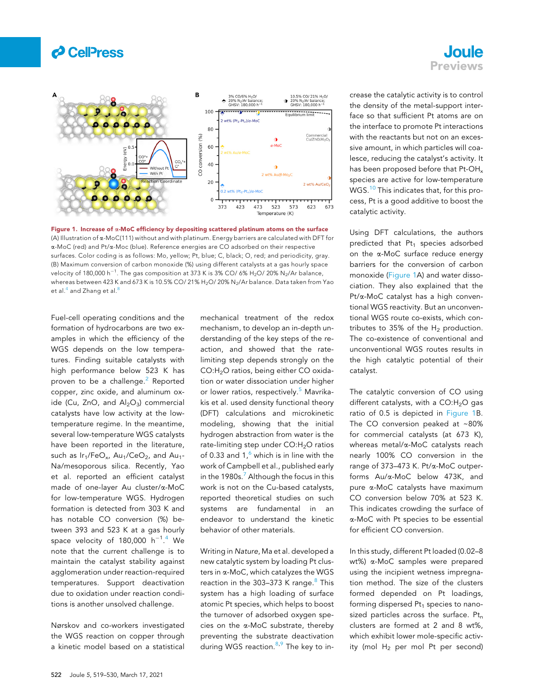

<span id="page-1-0"></span>

Figure 1. Increase of  $\alpha$ -MoC efficiency by depositing scattered platinum atoms on the surface (A) Illustration of  $\alpha$ -MoC(111) without and with platinum. Energy barriers are calculated with DFT for a-MoC (red) and Pt/a-Moc (blue). Reference energies are CO adsorbed on their respective surfaces. Color coding is as follows: Mo, yellow; Pt, blue; C, black; O, red; and periodicity, gray. (B) Maximum conversion of carbon monoxide (%) using different catalysts at a gas hourly space velocity of 180,000 h $^{-1}$ . The gas composition at 373 K is 3% CO/ 6% H<sub>2</sub>O/ 20% N<sub>2</sub>/Ar balance, whereas between 423 K and 673 K is 10.5% CO/ 21% H<sub>2</sub>O/ 20% N<sub>2</sub>/Ar balance. Data taken from Yao et al.<sup>[4](#page-2-3)</sup> and Zhang et al.<sup>[8](#page-2-7)</sup>

Fuel-cell operating conditions and the formation of hydrocarbons are two examples in which the efficiency of the WGS depends on the low temperatures. Finding suitable catalysts with high performance below 523 K has proven to be a challenge.<sup>[2](#page-2-1)</sup> Reported copper, zinc oxide, and aluminum oxide (Cu, ZnO, and  $Al_2O_3$ ) commercial catalysts have low activity at the lowtemperature regime. In the meantime, several low-temperature WGS catalysts have been reported in the literature, such as  $Ir_1/FeO_{x}$ ,  $Au_1/CeO_2$ , and  $Au_1$ -Na/mesoporous silica. Recently, Yao et al. reported an efficient catalyst made of one-layer Au cluster/a-MoC for low-temperature WGS. Hydrogen formation is detected from 303 K and has notable CO conversion (%) between 393 and 523 K at a gas hourly space velocity of 180,000  $h^{-1}$ .<sup>[4](#page-2-3)</sup> We note that the current challenge is to maintain the catalyst stability against agglomeration under reaction-required temperatures. Support deactivation due to oxidation under reaction conditions is another unsolved challenge.

Nørskov and co-workers investigated the WGS reaction on copper through a kinetic model based on a statistical

mechanical treatment of the redox mechanism, to develop an in-depth understanding of the key steps of the reaction, and showed that the ratelimiting step depends strongly on the CO:H<sub>2</sub>O ratios, being either CO oxidation or water dissociation under higher or lower ratios, respectively.<sup>[5](#page-2-4)</sup> Mavrikakis et al. used density functional theory (DFT) calculations and microkinetic modeling, showing that the initial hydrogen abstraction from water is the rate-limiting step under CO:H<sub>2</sub>O ratios of 0.33 and  $1<sup>6</sup>$  $1<sup>6</sup>$  $1<sup>6</sup>$  which is in line with the work of Campbell et al., published early in the 1980s. $7$  Although the focus in this work is not on the Cu-based catalysts, reported theoretical studies on such systems are fundamental in an endeavor to understand the kinetic behavior of other materials.

Writing in Nature, Ma et al. developed a new catalytic system by loading Pt clusters in a-MoC, which catalyzes the WGS reaction in the 303-373 K range.<sup>[8](#page-2-7)</sup> This system has a high loading of surface atomic Pt species, which helps to boost the turnover of adsorbed oxygen species on the a-MoC substrate, thereby preventing the substrate deactivation during WGS reaction.<sup>[8](#page-2-7),[9](#page-2-8)</sup> The key to increase the catalytic activity is to control the density of the metal-support interface so that sufficient Pt atoms are on the interface to promote Pt interactions with the reactants but not on an excessive amount, in which particles will coalesce, reducing the catalyst's activity. It has been proposed before that Pt-OH<sub>x</sub> species are active for low-temperature WGS.<sup>[10](#page-2-9)</sup> This indicates that, for this process, Pt is a good additive to boost the catalytic activity.

**Joule** Previews

Using DFT calculations, the authors predicted that  $Pt_1$  species adsorbed on the a-MoC surface reduce energy barriers for the conversion of carbon monoxide ([Figure 1](#page-1-0)A) and water dissociation. They also explained that the Pt/a-MoC catalyst has a high conventional WGS reactivity. But an unconventional WGS route co-exists, which contributes to 35% of the  $H_2$  production. The co-existence of conventional and unconventional WGS routes results in the high catalytic potential of their catalyst.

The catalytic conversion of CO using different catalysts, with a  $CO:H<sub>2</sub>O$  gas ratio of 0.5 is depicted in [Figure 1](#page-1-0)B. The CO conversion peaked at ~80% for commercial catalysts (at 673 K), whereas metal/a-MoC catalysts reach nearly 100% CO conversion in the range of 373–473 K. Pt/a-MoC outperforms Au/a-MoC below 473K, and pure a-MoC catalysts have maximum CO conversion below 70% at 523 K. This indicates crowding the surface of a-MoC with Pt species to be essential for efficient CO conversion.

In this study, different Pt loaded (0.02–8 wt%) a-MoC samples were prepared using the incipient wetness impregnation method. The size of the clusters formed depended on Pt loadings, forming dispersed  $Pt<sub>1</sub>$  species to nanosized particles across the surface.  $Pt_n$ clusters are formed at 2 and 8 wt%, which exhibit lower mole-specific activity (mol  $H_2$  per mol Pt per second)